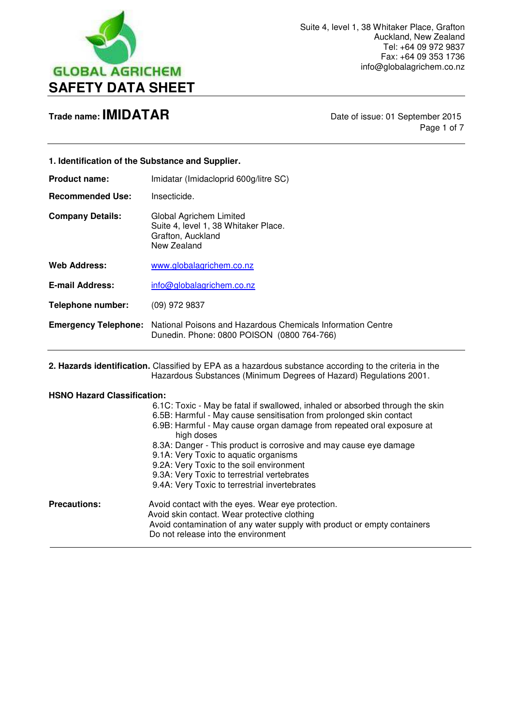

 $\overline{a}$ 

Page 1 of 7

| 1. Identification of the Substance and Supplier. |                                                                                                                                                                                                                                                                                                                                                                                                                                                                                                       |
|--------------------------------------------------|-------------------------------------------------------------------------------------------------------------------------------------------------------------------------------------------------------------------------------------------------------------------------------------------------------------------------------------------------------------------------------------------------------------------------------------------------------------------------------------------------------|
| <b>Product name:</b>                             | Imidatar (Imidacloprid 600g/litre SC)                                                                                                                                                                                                                                                                                                                                                                                                                                                                 |
| <b>Recommended Use:</b>                          | Insecticide.                                                                                                                                                                                                                                                                                                                                                                                                                                                                                          |
| <b>Company Details:</b>                          | Global Agrichem Limited<br>Suite 4, level 1, 38 Whitaker Place.<br>Grafton, Auckland<br>New Zealand                                                                                                                                                                                                                                                                                                                                                                                                   |
| <b>Web Address:</b>                              | www.globalagrichem.co.nz                                                                                                                                                                                                                                                                                                                                                                                                                                                                              |
| <b>E-mail Address:</b>                           | info@globalagrichem.co.nz                                                                                                                                                                                                                                                                                                                                                                                                                                                                             |
| <b>Telephone number:</b>                         | (09) 972 9837                                                                                                                                                                                                                                                                                                                                                                                                                                                                                         |
| <b>Emergency Telephone:</b>                      | National Poisons and Hazardous Chemicals Information Centre<br>Dunedin. Phone: 0800 POISON (0800 764-766)                                                                                                                                                                                                                                                                                                                                                                                             |
|                                                  | 2. Hazards identification. Classified by EPA as a hazardous substance according to the criteria in the<br>Hazardous Substances (Minimum Degrees of Hazard) Regulations 2001.                                                                                                                                                                                                                                                                                                                          |
| <b>HSNO Hazard Classification:</b>               |                                                                                                                                                                                                                                                                                                                                                                                                                                                                                                       |
|                                                  | 6.1C: Toxic - May be fatal if swallowed, inhaled or absorbed through the skin<br>6.5B: Harmful - May cause sensitisation from prolonged skin contact<br>6.9B: Harmful - May cause organ damage from repeated oral exposure at<br>high doses<br>8.3A: Danger - This product is corrosive and may cause eye damage<br>9.1A: Very Toxic to aquatic organisms<br>9.2A: Very Toxic to the soil environment<br>9.3A: Very Toxic to terrestrial vertebrates<br>9.4A: Very Toxic to terrestrial invertebrates |
| <b>Precautions:</b>                              | Avoid contact with the eyes. Wear eye protection.<br>Avoid skin contact. Wear protective clothing<br>Avoid contamination of any water supply with product or empty containers<br>Do not release into the environment                                                                                                                                                                                                                                                                                  |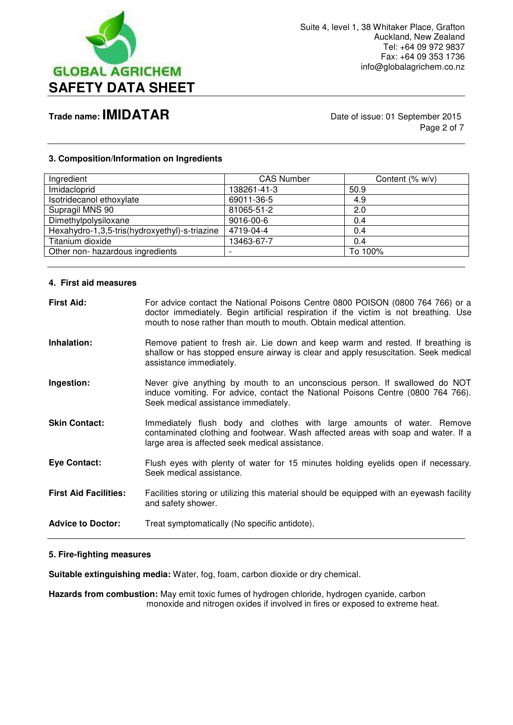

Page 2 of 7

#### **3. Composition/Information on Ingredients**

| Ingredient                                    | <b>CAS Number</b>        | Content $(\% w/v)$ |
|-----------------------------------------------|--------------------------|--------------------|
| Imidacloprid                                  | 138261-41-3              | 50.9               |
| Isotridecanol ethoxylate                      | 69011-36-5               | 4.9                |
| Supragil MNS 90                               | 81065-51-2               | 2.0                |
| Dimethylpolysiloxane                          | 9016-00-6                | 0.4                |
| Hexahydro-1,3,5-tris(hydroxyethyl)-s-triazine | 4719-04-4                | 0.4                |
| Titanium dioxide                              | 13463-67-7               | 0.4                |
| Other non- hazardous ingredients              | $\overline{\phantom{0}}$ | To 100%            |
|                                               |                          |                    |

#### **4. First aid measures**

| <b>First Aid:</b>            | For advice contact the National Poisons Centre 0800 POISON (0800 764 766) or a<br>doctor immediately. Begin artificial respiration if the victim is not breathing. Use<br>mouth to nose rather than mouth to mouth. Obtain medical attention. |
|------------------------------|-----------------------------------------------------------------------------------------------------------------------------------------------------------------------------------------------------------------------------------------------|
| Inhalation:                  | Remove patient to fresh air. Lie down and keep warm and rested. If breathing is<br>shallow or has stopped ensure airway is clear and apply resuscitation. Seek medical<br>assistance immediately.                                             |
| Ingestion:                   | Never give anything by mouth to an unconscious person. If swallowed do NOT<br>induce vomiting. For advice, contact the National Poisons Centre (0800 764 766).<br>Seek medical assistance immediately.                                        |
| <b>Skin Contact:</b>         | Immediately flush body and clothes with large amounts of water. Remove<br>contaminated clothing and footwear. Wash affected areas with soap and water. If a<br>large area is affected seek medical assistance.                                |
| <b>Eye Contact:</b>          | Flush eyes with plenty of water for 15 minutes holding eyelids open if necessary.<br>Seek medical assistance.                                                                                                                                 |
| <b>First Aid Facilities:</b> | Facilities storing or utilizing this material should be equipped with an eyewash facility<br>and safety shower.                                                                                                                               |
| <b>Advice to Doctor:</b>     | Treat symptomatically (No specific antidote).                                                                                                                                                                                                 |

#### **5. Fire-fighting measures**

**Suitable extinguishing media:** Water, fog, foam, carbon dioxide or dry chemical.

Hazards from combustion: May emit toxic fumes of hydrogen chloride, hydrogen cyanide, carbon monoxide and nitrogen oxides if involved in fires or exposed to extreme heat.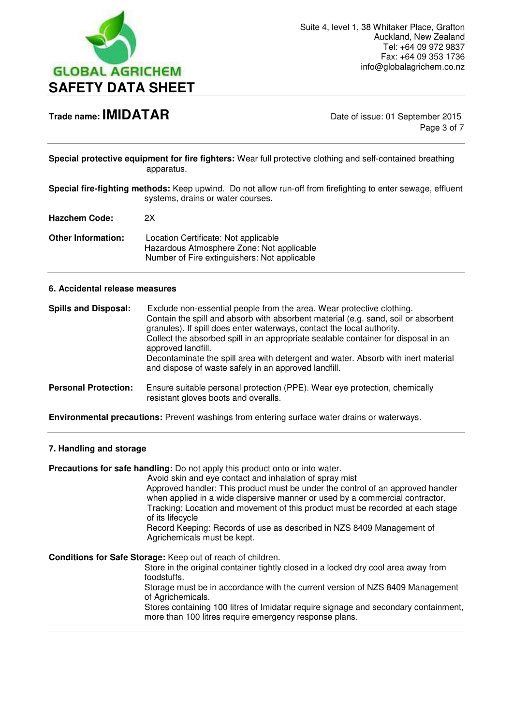

Page 3 of 7

**Special protective equipment for fire fighters:** Wear full protective clothing and self-contained breathing apparatus.

**Special fire-fighting methods:** Keep upwind. Do not allow run-off from firefighting to enter sewage, effluent systems, drains or water courses.

**Hazchem Code:** 2X

**Other Information:** Location Certificate: Not applicable Hazardous Atmosphere Zone: Not applicable Number of Fire extinguishers: Not applicable

#### **6. Accidental release measures**

| <b>Spills and Disposal:</b> | Exclude non-essential people from the area. Wear protective clothing.<br>Contain the spill and absorb with absorbent material (e.g. sand, soil or absorbent<br>granules). If spill does enter waterways, contact the local authority.<br>Collect the absorbed spill in an appropriate sealable container for disposal in an<br>approved landfill.<br>Decontaminate the spill area with detergent and water. Absorb with inert material<br>and dispose of waste safely in an approved landfill. |
|-----------------------------|------------------------------------------------------------------------------------------------------------------------------------------------------------------------------------------------------------------------------------------------------------------------------------------------------------------------------------------------------------------------------------------------------------------------------------------------------------------------------------------------|
| <b>Personal Protection:</b> | Ensure suitable personal protection (PPE). Wear eye protection, chemically<br>resistant gloves boots and overalls.                                                                                                                                                                                                                                                                                                                                                                             |

**Environmental precautions:** Prevent washings from entering surface water drains or waterways.

#### **7. Handling and storage**

**Precautions for safe handling:** Do not apply this product onto or into water.

 Avoid skin and eye contact and inhalation of spray mist Approved handler: This product must be under the control of an approved handler when applied in a wide dispersive manner or used by a commercial contractor. Tracking: Location and movement of this product must be recorded at each stage of its lifecycle

 Record Keeping: Records of use as described in NZS 8409 Management of Agrichemicals must be kept.

**Conditions for Safe Storage:** Keep out of reach of children.

 Store in the original container tightly closed in a locked dry cool area away from foodstuffs.

 Storage must be in accordance with the current version of NZS 8409 Management of Agrichemicals.

 Stores containing 100 litres of Imidatar require signage and secondary containment, more than 100 litres require emergency response plans.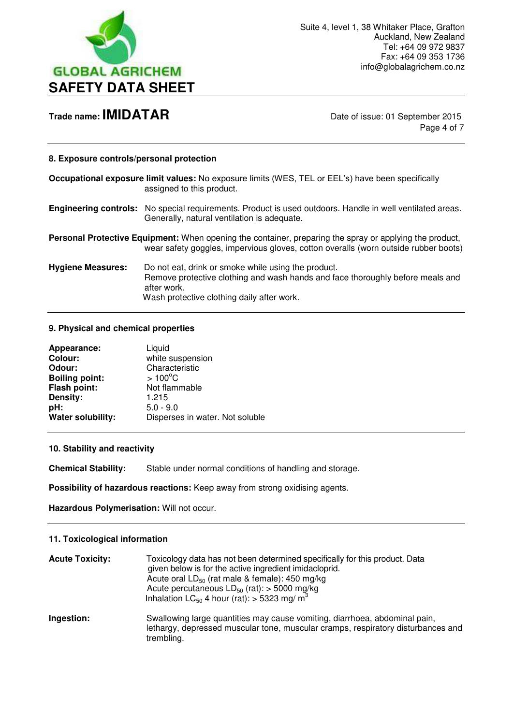

Page 4 of 7

#### **8. Exposure controls/personal protection**

|                          | Occupational exposure limit values: No exposure limits (WES, TEL or EEL's) have been specifically<br>assigned to this product.                                                                        |
|--------------------------|-------------------------------------------------------------------------------------------------------------------------------------------------------------------------------------------------------|
|                          | Engineering controls: No special requirements. Product is used outdoors. Handle in well ventilated areas.<br>Generally, natural ventilation is adequate.                                              |
|                          | <b>Personal Protective Equipment:</b> When opening the container, preparing the spray or applying the product,<br>wear safety goggles, impervious gloves, cotton overalls (worn outside rubber boots) |
| <b>Hygiene Measures:</b> | Do not eat, drink or smoke while using the product.<br>Remove protective clothing and wash hands and face thoroughly before meals and<br>after work.<br>Wash protective clothing daily after work.    |

#### **9. Physical and chemical properties**

| Appearance:           | Liquid                          |
|-----------------------|---------------------------------|
| <b>Colour:</b>        | white suspension                |
| Odour:                | Characteristic                  |
| <b>Boiling point:</b> | $>100^{\circ}$ C                |
| Flash point:          | Not flammable                   |
| Density:              | 1.215                           |
| pH:                   | $5.0 - 9.0$                     |
| Water solubility:     | Disperses in water. Not soluble |

#### **10. Stability and reactivity**

**Chemical Stability:** Stable under normal conditions of handling and storage.

**Possibility of hazardous reactions:** Keep away from strong oxidising agents.

**Hazardous Polymerisation:** Will not occur.

#### **11. Toxicological information**

| <b>Acute Toxicity:</b> | Toxicology data has not been determined specifically for this product. Data<br>given below is for the active ingredient imidacloprid.<br>Acute oral $LD_{50}$ (rat male & female): 450 mg/kg<br>Acute percutaneous $LD_{50}$ (rat): > 5000 mg/kg<br>Inhalation LC <sub>50</sub> 4 hour (rat): $>$ 5323 mg/m <sup>3</sup> |
|------------------------|--------------------------------------------------------------------------------------------------------------------------------------------------------------------------------------------------------------------------------------------------------------------------------------------------------------------------|
| Ingestion:             | Swallowing large quantities may cause vomiting, diarrhoea, abdominal pain,<br>lethargy, depressed muscular tone, muscular cramps, respiratory disturbances and<br>trembling.                                                                                                                                             |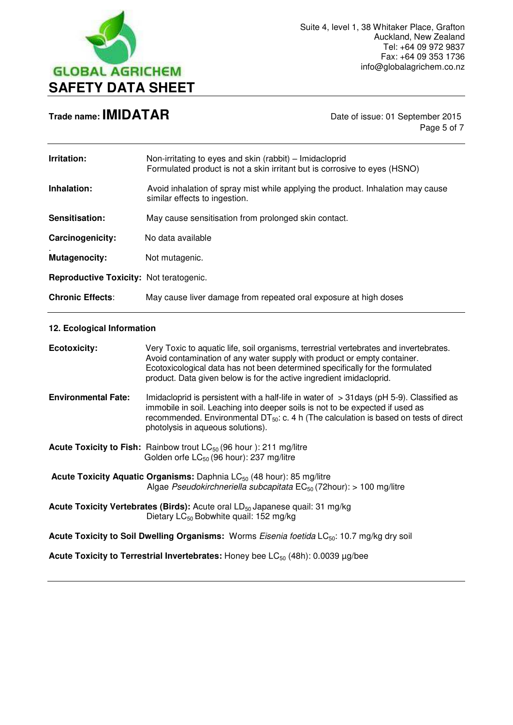

Page 5 of 7

| Irritation:                             | Non-irritating to eyes and skin (rabbit) - Imidacloprid<br>Formulated product is not a skin irritant but is corrosive to eyes (HSNO)                                                                                                                                                                                        |
|-----------------------------------------|-----------------------------------------------------------------------------------------------------------------------------------------------------------------------------------------------------------------------------------------------------------------------------------------------------------------------------|
| Inhalation:                             | Avoid inhalation of spray mist while applying the product. Inhalation may cause<br>similar effects to ingestion.                                                                                                                                                                                                            |
| Sensitisation:                          | May cause sensitisation from prolonged skin contact.                                                                                                                                                                                                                                                                        |
| Carcinogenicity:                        | No data available                                                                                                                                                                                                                                                                                                           |
| <b>Mutagenocity:</b>                    | Not mutagenic.                                                                                                                                                                                                                                                                                                              |
| Reproductive Toxicity: Not teratogenic. |                                                                                                                                                                                                                                                                                                                             |
| <b>Chronic Effects:</b>                 | May cause liver damage from repeated oral exposure at high doses                                                                                                                                                                                                                                                            |
| 12. Ecological Information              |                                                                                                                                                                                                                                                                                                                             |
| <b>Ecotoxicity:</b>                     | Very Toxic to aquatic life, soil organisms, terrestrial vertebrates and invertebrates.<br>Avoid contamination of any water supply with product or empty container.<br>Ecotoxicological data has not been determined specifically for the formulated<br>product. Data given below is for the active ingredient imidacloprid. |
| <b>Environmental Fate:</b>              | Imidacloprid is persistent with a half-life in water of $>$ 31 days (pH 5-9). Classified as<br>immobile in soil. Leaching into deeper soils is not to be expected if used as<br>recommended. Environmental DT $_{50}$ : c. 4 h (The calculation is based on tests of direct<br>photolysis in aqueous solutions).            |
|                                         | <b>Acute Toxicity to Fish:</b> Rainbow trout $LC_{50}$ (96 hour): 211 mg/litre<br>Golden orfe LC <sub>50</sub> (96 hour): 237 mg/litre                                                                                                                                                                                      |
|                                         | <b>Acute Toxicity Aquatic Organisms:</b> Daphnia $LC_{50}$ (48 hour): 85 mg/litre<br>Algae Pseudokirchneriella subcapitata $EC_{50}$ (72hour): > 100 mg/litre                                                                                                                                                               |
|                                         | Acute Toxicity Vertebrates (Birds): Acute oral LD <sub>50</sub> Japanese quail: 31 mg/kg<br>Dietary LC <sub>50</sub> Bobwhite quail: 152 mg/kg                                                                                                                                                                              |
|                                         | Acute Toxicity to Soil Dwelling Organisms: Worms Eisenia foetida LC <sub>50</sub> : 10.7 mg/kg dry soil                                                                                                                                                                                                                     |
|                                         | <b>Acute Toxicity to Terrestrial Invertebrates:</b> Honey bee $LC_{50}$ (48h): 0.0039 $\mu$ g/bee                                                                                                                                                                                                                           |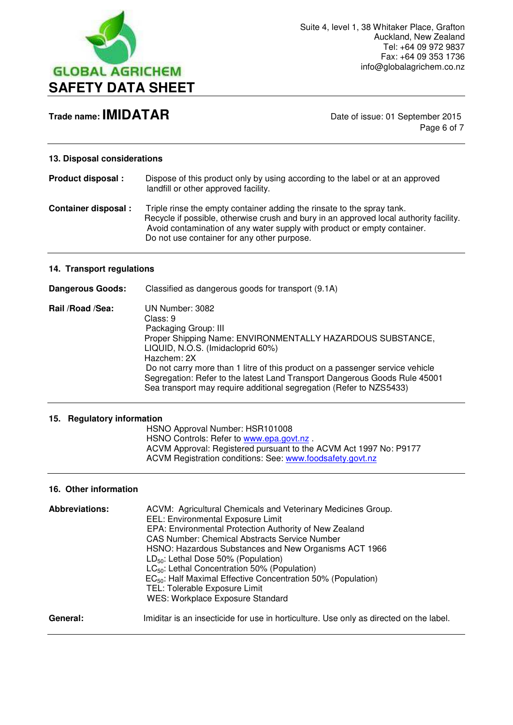

Page 6 of 7

#### **13. Disposal considerations**

**Product disposal :** Dispose of this product only by using according to the label or at an approved landfill or other approved facility.

**Container disposal :** Triple rinse the empty container adding the rinsate to the spray tank. Recycle if possible, otherwise crush and bury in an approved local authority facility. Avoid contamination of any water supply with product or empty container. Do not use container for any other purpose.

#### **14. Transport regulations**

**Dangerous Goods:** Classified as dangerous goods for transport (9.1A)

**Rail /Road /Sea:** UN Number: 3082Class: 9 Packaging Group: III Proper Shipping Name: ENVIRONMENTALLY HAZARDOUS SUBSTANCE, LIQUID, N.O.S. (Imidacloprid 60%) Hazchem: 2X Do not carry more than 1 litre of this product on a passenger service vehicle Segregation: Refer to the latest Land Transport Dangerous Goods Rule 45001 Sea transport may require additional segregation (Refer to NZS5433)

#### **15. Regulatory information**

 HSNO Approval Number: HSR101008 HSNO Controls: Refer to [www.epa.govt.nz](http://www.epa.govt.nz/) . ACVM Approval: Registered pursuant to the ACVM Act 1997 No: P9177 ACVM Registration conditions: See: [www.foodsafety.govt.nz](http://www.foodsafety.govt.nz/) 

#### **16. Other information**

| <b>Abbreviations:</b> | ACVM: Agricultural Chemicals and Veterinary Medicines Group.                           |
|-----------------------|----------------------------------------------------------------------------------------|
|                       | EEL: Environmental Exposure Limit                                                      |
|                       | EPA: Environmental Protection Authority of New Zealand                                 |
|                       | CAS Number: Chemical Abstracts Service Number                                          |
|                       | HSNO: Hazardous Substances and New Organisms ACT 1966                                  |
|                       | $LD_{50}$ : Lethal Dose 50% (Population)                                               |
|                       | $LC_{50}$ : Lethal Concentration 50% (Population)                                      |
|                       | EC <sub>50</sub> : Half Maximal Effective Concentration 50% (Population)               |
|                       | TEL: Tolerable Exposure Limit                                                          |
|                       | WES: Workplace Exposure Standard                                                       |
| General:              | Imiditar is an insecticide for use in horticulture. Use only as directed on the label. |
|                       |                                                                                        |